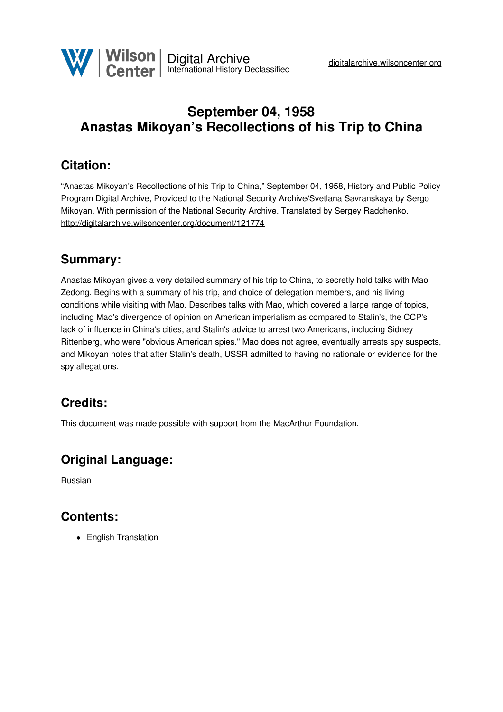

# **September 04, 1958 Anastas Mikoyan's Recollections of his Trip to China**

## **Citation:**

"Anastas Mikoyan's Recollections of his Trip to China," September 04, 1958, History and Public Policy Program Digital Archive, Provided to the National Security Archive/Svetlana Savranskaya by Sergo Mikoyan. With permission of the National Security Archive. Translated by Sergey Radchenko. <http://digitalarchive.wilsoncenter.org/document/121774>

#### **Summary:**

Anastas Mikoyan gives a very detailed summary of his trip to China, to secretly hold talks with Mao Zedong. Begins with a summary of his trip, and choice of delegation members, and his living conditions while visiting with Mao. Describes talks with Mao, which covered a large range of topics, including Mao's divergence of opinion on American imperialism as compared to Stalin's, the CCP's lack of influence in China's cities, and Stalin's advice to arrest two Americans, including Sidney Rittenberg, who were "obvious American spies." Mao does not agree, eventually arrests spy suspects, and Mikoyan notes that after Stalin's death, USSR admitted to having no rationale or evidence for the spy allegations.

### **Credits:**

This document was made possible with support from the MacArthur Foundation.

### **Original Language:**

Russian

### **Contents:**

• English Translation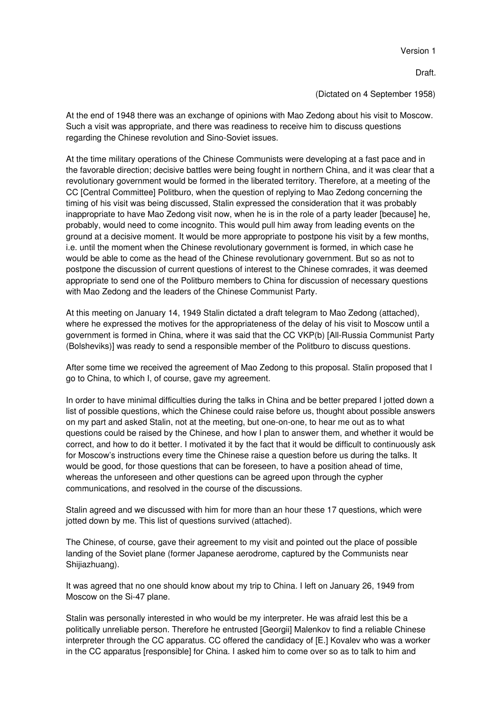Version 1

Draft.

(Dictated on 4 September 1958)

At the end of 1948 there was an exchange of opinions with Mao Zedong about his visit to Moscow. Such a visit was appropriate, and there was readiness to receive him to discuss questions regarding the Chinese revolution and Sino-Soviet issues.

At the time military operations of the Chinese Communists were developing at a fast pace and in the favorable direction; decisive battles were being fought in northern China, and it was clear that a revolutionary government would be formed in the liberated territory. Therefore, at a meeting of the CC [Central Committee] Politburo, when the question of replying to Mao Zedong concerning the timing of his visit was being discussed, Stalin expressed the consideration that it was probably inappropriate to have Mao Zedong visit now, when he is in the role of a party leader [because] he, probably, would need to come incognito. This would pull him away from leading events on the ground at a decisive moment. It would be more appropriate to postpone his visit by a few months, i.e. until the moment when the Chinese revolutionary government is formed, in which case he would be able to come as the head of the Chinese revolutionary government. But so as not to postpone the discussion of current questions of interest to the Chinese comrades, it was deemed appropriate to send one of the Politburo members to China for discussion of necessary questions with Mao Zedong and the leaders of the Chinese Communist Party.

At this meeting on January 14, 1949 Stalin dictated a draft telegram to Mao Zedong (attached), where he expressed the motives for the appropriateness of the delay of his visit to Moscow until a government is formed in China, where it was said that the CC VKP(b) [All-Russia Communist Party (Bolsheviks)] was ready to send a responsible member of the Politburo to discuss questions.

After some time we received the agreement of Mao Zedong to this proposal. Stalin proposed that I go to China, to which I, of course, gave my agreement.

In order to have minimal difficulties during the talks in China and be better prepared I jotted down a list of possible questions, which the Chinese could raise before us, thought about possible answers on my part and asked Stalin, not at the meeting, but one-on-one, to hear me out as to what questions could be raised by the Chinese, and how I plan to answer them, and whether it would be correct, and how to do it better. I motivated it by the fact that it would be difficult to continuously ask for Moscow's instructions every time the Chinese raise a question before us during the talks. It would be good, for those questions that can be foreseen, to have a position ahead of time, whereas the unforeseen and other questions can be agreed upon through the cypher communications, and resolved in the course of the discussions.

Stalin agreed and we discussed with him for more than an hour these 17 questions, which were jotted down by me. This list of questions survived (attached).

The Chinese, of course, gave their agreement to my visit and pointed out the place of possible landing of the Soviet plane (former Japanese aerodrome, captured by the Communists near Shijiazhuang).

It was agreed that no one should know about my trip to China. I left on January 26, 1949 from Moscow on the Si-47 plane.

Stalin was personally interested in who would be my interpreter. He was afraid lest this be a politically unreliable person. Therefore he entrusted [Georgii] Malenkov to find a reliable Chinese interpreter through the CC apparatus. CC offered the candidacy of [E.] Kovalev who was a worker in the CC apparatus [responsible] for China. I asked him to come over so as to talk to him and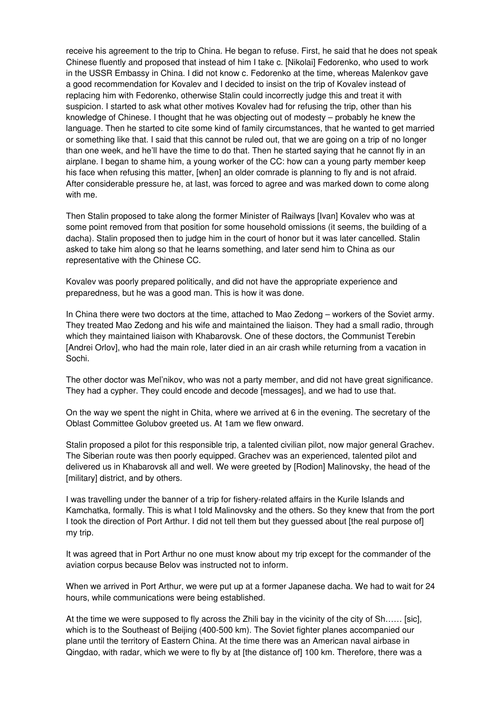receive his agreement to the trip to China. He began to refuse. First, he said that he does not speak Chinese fluently and proposed that instead of him I take c. [Nikolai] Fedorenko, who used to work in the USSR Embassy in China. I did not know c. Fedorenko at the time, whereas Malenkov gave a good recommendation for Kovalev and I decided to insist on the trip of Kovalev instead of replacing him with Fedorenko, otherwise Stalin could incorrectly judge this and treat it with suspicion. I started to ask what other motives Kovalev had for refusing the trip, other than his knowledge of Chinese. I thought that he was objecting out of modesty – probably he knew the language. Then he started to cite some kind of family circumstances, that he wanted to get married or something like that. I said that this cannot be ruled out, that we are going on a trip of no longer than one week, and he'll have the time to do that. Then he started saying that he cannot fly in an airplane. I began to shame him, a young worker of the CC: how can a young party member keep his face when refusing this matter, [when] an older comrade is planning to fly and is not afraid. After considerable pressure he, at last, was forced to agree and was marked down to come along with me.

Then Stalin proposed to take along the former Minister of Railways [Ivan] Kovalev who was at some point removed from that position for some household omissions (it seems, the building of a dacha). Stalin proposed then to judge him in the court of honor but it was later cancelled. Stalin asked to take him along so that he learns something, and later send him to China as our representative with the Chinese CC.

Kovalev was poorly prepared politically, and did not have the appropriate experience and preparedness, but he was a good man. This is how it was done.

In China there were two doctors at the time, attached to Mao Zedong – workers of the Soviet army. They treated Mao Zedong and his wife and maintained the liaison. They had a small radio, through which they maintained liaison with Khabarovsk. One of these doctors, the Communist Terebin [Andrei Orlov], who had the main role, later died in an air crash while returning from a vacation in Sochi.

The other doctor was Mel'nikov, who was not a party member, and did not have great significance. They had a cypher. They could encode and decode [messages], and we had to use that.

On the way we spent the night in Chita, where we arrived at 6 in the evening. The secretary of the Oblast Committee Golubov greeted us. At 1am we flew onward.

Stalin proposed a pilot for this responsible trip, a talented civilian pilot, now major general Grachev. The Siberian route was then poorly equipped. Grachev was an experienced, talented pilot and delivered us in Khabarovsk all and well. We were greeted by [Rodion] Malinovsky, the head of the [military] district, and by others.

I was travelling under the banner of a trip for fishery-related affairs in the Kurile Islands and Kamchatka, formally. This is what I told Malinovsky and the others. So they knew that from the port I took the direction of Port Arthur. I did not tell them but they guessed about [the real purpose of] my trip.

It was agreed that in Port Arthur no one must know about my trip except for the commander of the aviation corpus because Belov was instructed not to inform.

When we arrived in Port Arthur, we were put up at a former Japanese dacha. We had to wait for 24 hours, while communications were being established.

At the time we were supposed to fly across the Zhili bay in the vicinity of the city of Sh…… [sic], which is to the Southeast of Beijing (400-500 km). The Soviet fighter planes accompanied our plane until the territory of Eastern China. At the time there was an American naval airbase in Qingdao, with radar, which we were to fly by at [the distance of] 100 km. Therefore, there was a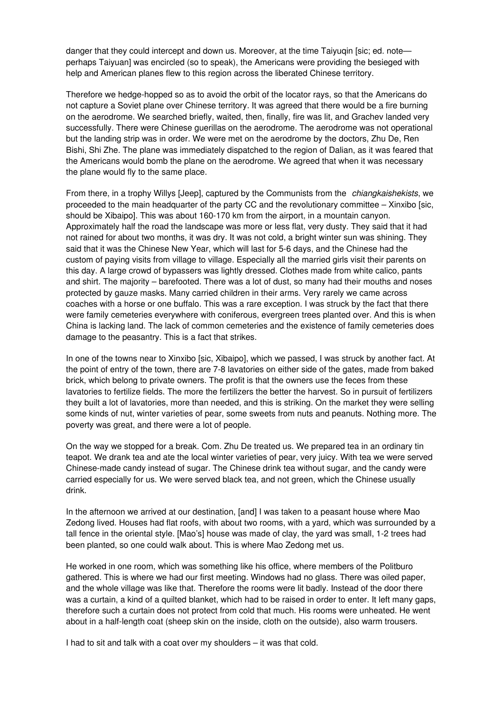danger that they could intercept and down us. Moreover, at the time Taiyuqin [sic; ed. note perhaps Taiyuan] was encircled (so to speak), the Americans were providing the besieged with help and American planes flew to this region across the liberated Chinese territory.

Therefore we hedge-hopped so as to avoid the orbit of the locator rays, so that the Americans do not capture a Soviet plane over Chinese territory. It was agreed that there would be a fire burning on the aerodrome. We searched briefly, waited, then, finally, fire was lit, and Grachev landed very successfully. There were Chinese guerillas on the aerodrome. The aerodrome was not operational but the landing strip was in order. We were met on the aerodrome by the doctors, Zhu De, Ren Bishi, Shi Zhe. The plane was immediately dispatched to the region of Dalian, as it was feared that the Americans would bomb the plane on the aerodrome. We agreed that when it was necessary the plane would fly to the same place.

From there, in a trophy Willys [Jeep], captured by the Communists from the *chiangkaishekists*, we proceeded to the main headquarter of the party CC and the revolutionary committee – Xinxibo [sic, should be Xibaipo]. This was about 160-170 km from the airport, in a mountain canyon. Approximately half the road the landscape was more or less flat, very dusty. They said that it had not rained for about two months, it was dry. It was not cold, a bright winter sun was shining. They said that it was the Chinese New Year, which will last for 5-6 days, and the Chinese had the custom of paying visits from village to village. Especially all the married girls visit their parents on this day. A large crowd of bypassers was lightly dressed. Clothes made from white calico, pants and shirt. The majority – barefooted. There was a lot of dust, so many had their mouths and noses protected by gauze masks. Many carried children in their arms. Very rarely we came across coaches with a horse or one buffalo. This was a rare exception. I was struck by the fact that there were family cemeteries everywhere with coniferous, evergreen trees planted over. And this is when China is lacking land. The lack of common cemeteries and the existence of family cemeteries does damage to the peasantry. This is a fact that strikes.

In one of the towns near to Xinxibo [sic, Xibaipo], which we passed, I was struck by another fact. At the point of entry of the town, there are 7-8 lavatories on either side of the gates, made from baked brick, which belong to private owners. The profit is that the owners use the feces from these lavatories to fertilize fields. The more the fertilizers the better the harvest. So in pursuit of fertilizers they built a lot of lavatories, more than needed, and this is striking. On the market they were selling some kinds of nut, winter varieties of pear, some sweets from nuts and peanuts. Nothing more. The poverty was great, and there were a lot of people.

On the way we stopped for a break. Com. Zhu De treated us. We prepared tea in an ordinary tin teapot. We drank tea and ate the local winter varieties of pear, very juicy. With tea we were served Chinese-made candy instead of sugar. The Chinese drink tea without sugar, and the candy were carried especially for us. We were served black tea, and not green, which the Chinese usually drink.

In the afternoon we arrived at our destination, [and] I was taken to a peasant house where Mao Zedong lived. Houses had flat roofs, with about two rooms, with a yard, which was surrounded by a tall fence in the oriental style. [Mao's] house was made of clay, the yard was small, 1-2 trees had been planted, so one could walk about. This is where Mao Zedong met us.

He worked in one room, which was something like his office, where members of the Politburo gathered. This is where we had our first meeting. Windows had no glass. There was oiled paper, and the whole village was like that. Therefore the rooms were lit badly. Instead of the door there was a curtain, a kind of a quilted blanket, which had to be raised in order to enter. It left many gaps, therefore such a curtain does not protect from cold that much. His rooms were unheated. He went about in a half-length coat (sheep skin on the inside, cloth on the outside), also warm trousers.

I had to sit and talk with a coat over my shoulders – it was that cold.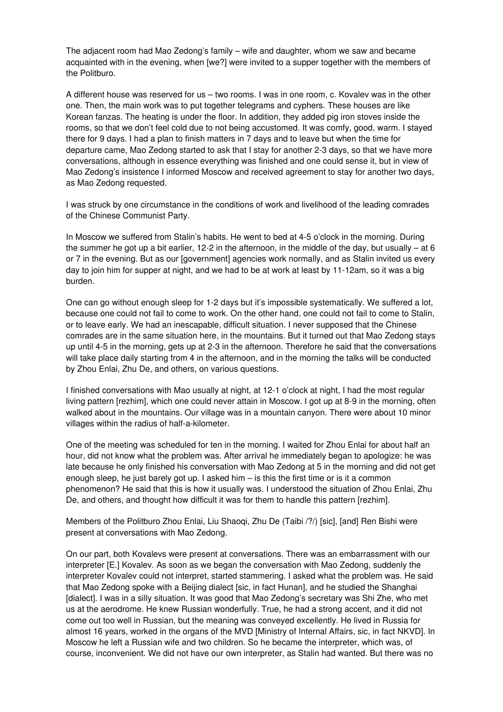The adjacent room had Mao Zedong's family – wife and daughter, whom we saw and became acquainted with in the evening, when [we?] were invited to a supper together with the members of the Politburo.

A different house was reserved for us – two rooms. I was in one room, c. Kovalev was in the other one. Then, the main work was to put together telegrams and cyphers. These houses are like Korean fanzas. The heating is under the floor. In addition, they added pig iron stoves inside the rooms, so that we don't feel cold due to not being accustomed. It was comfy, good, warm. I stayed there for 9 days. I had a plan to finish matters in 7 days and to leave but when the time for departure came, Mao Zedong started to ask that I stay for another 2-3 days, so that we have more conversations, although in essence everything was finished and one could sense it, but in view of Mao Zedong's insistence I informed Moscow and received agreement to stay for another two days, as Mao Zedong requested.

I was struck by one circumstance in the conditions of work and livelihood of the leading comrades of the Chinese Communist Party.

In Moscow we suffered from Stalin's habits. He went to bed at 4-5 o'clock in the morning. During the summer he got up a bit earlier, 12-2 in the afternoon, in the middle of the day, but usually – at 6 or 7 in the evening. But as our [government] agencies work normally, and as Stalin invited us every day to join him for supper at night, and we had to be at work at least by 11-12am, so it was a big burden.

One can go without enough sleep for 1-2 days but it's impossible systematically. We suffered a lot, because one could not fail to come to work. On the other hand, one could not fail to come to Stalin, or to leave early. We had an inescapable, difficult situation. I never supposed that the Chinese comrades are in the same situation here, in the mountains. But it turned out that Mao Zedong stays up until 4-5 in the morning, gets up at 2-3 in the afternoon. Therefore he said that the conversations will take place daily starting from 4 in the afternoon, and in the morning the talks will be conducted by Zhou Enlai, Zhu De, and others, on various questions.

I finished conversations with Mao usually at night, at 12-1 o'clock at night, I had the most regular living pattern [rezhim], which one could never attain in Moscow. I got up at 8-9 in the morning, often walked about in the mountains. Our village was in a mountain canyon. There were about 10 minor villages within the radius of half-a-kilometer.

One of the meeting was scheduled for ten in the morning. I waited for Zhou Enlai for about half an hour, did not know what the problem was. After arrival he immediately began to apologize: he was late because he only finished his conversation with Mao Zedong at 5 in the morning and did not get enough sleep, he just barely got up. I asked him – is this the first time or is it a common phenomenon? He said that this is how it usually was. I understood the situation of Zhou Enlai, Zhu De, and others, and thought how difficult it was for them to handle this pattern [rezhim].

Members of the Politburo Zhou Enlai, Liu Shaoqi, Zhu De (Taibi /?/) [sic], [and] Ren Bishi were present at conversations with Mao Zedong.

On our part, both Kovalevs were present at conversations. There was an embarrassment with our interpreter [E.] Kovalev. As soon as we began the conversation with Mao Zedong, suddenly the interpreter Kovalev could not interpret, started stammering. I asked what the problem was. He said that Mao Zedong spoke with a Beijing dialect [sic, in fact Hunan], and he studied the Shanghai [dialect]. I was in a silly situation. It was good that Mao Zedong's secretary was Shi Zhe, who met us at the aerodrome. He knew Russian wonderfully. True, he had a strong accent, and it did not come out too well in Russian, but the meaning was conveyed excellently. He lived in Russia for almost 16 years, worked in the organs of the MVD [Ministry of Internal Affairs, sic, in fact NKVD]. In Moscow he left a Russian wife and two children. So he became the interpreter, which was, of course, inconvenient. We did not have our own interpreter, as Stalin had wanted. But there was no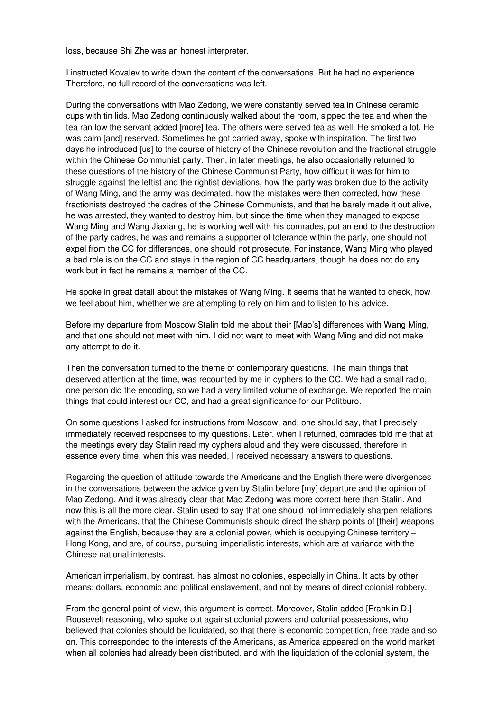loss, because Shi Zhe was an honest interpreter.

I instructed Kovalev to write down the content of the conversations. But he had no experience. Therefore, no full record of the conversations was left.

During the conversations with Mao Zedong, we were constantly served tea in Chinese ceramic cups with tin lids. Mao Zedong continuously walked about the room, sipped the tea and when the tea ran low the servant added [more] tea. The others were served tea as well. He smoked a lot. He was calm [and] reserved. Sometimes he got carried away, spoke with inspiration. The first two days he introduced [us] to the course of history of the Chinese revolution and the fractional struggle within the Chinese Communist party. Then, in later meetings, he also occasionally returned to these questions of the history of the Chinese Communist Party, how difficult it was for him to struggle against the leftist and the rightist deviations, how the party was broken due to the activity of Wang Ming, and the army was decimated, how the mistakes were then corrected, how these fractionists destroyed the cadres of the Chinese Communists, and that he barely made it out alive, he was arrested, they wanted to destroy him, but since the time when they managed to expose Wang Ming and Wang Jiaxiang, he is working well with his comrades, put an end to the destruction of the party cadres, he was and remains a supporter of tolerance within the party, one should not expel from the CC for differences, one should not prosecute. For instance, Wang Ming who played a bad role is on the CC and stays in the region of CC headquarters, though he does not do any work but in fact he remains a member of the CC.

He spoke in great detail about the mistakes of Wang Ming. It seems that he wanted to check, how we feel about him, whether we are attempting to rely on him and to listen to his advice.

Before my departure from Moscow Stalin told me about their [Mao's] differences with Wang Ming, and that one should not meet with him. I did not want to meet with Wang Ming and did not make any attempt to do it.

Then the conversation turned to the theme of contemporary questions. The main things that deserved attention at the time, was recounted by me in cyphers to the CC. We had a small radio, one person did the encoding, so we had a very limited volume of exchange. We reported the main things that could interest our CC, and had a great significance for our Politburo.

On some questions I asked for instructions from Moscow, and, one should say, that I precisely immediately received responses to my questions. Later, when I returned, comrades told me that at the meetings every day Stalin read my cyphers aloud and they were discussed, therefore in essence every time, when this was needed, I received necessary answers to questions.

Regarding the question of attitude towards the Americans and the English there were divergences in the conversations between the advice given by Stalin before [my] departure and the opinion of Mao Zedong. And it was already clear that Mao Zedong was more correct here than Stalin. And now this is all the more clear. Stalin used to say that one should not immediately sharpen relations with the Americans, that the Chinese Communists should direct the sharp points of [their] weapons against the English, because they are a colonial power, which is occupying Chinese territory – Hong Kong, and are, of course, pursuing imperialistic interests, which are at variance with the Chinese national interests.

American imperialism, by contrast, has almost no colonies, especially in China. It acts by other means: dollars, economic and political enslavement, and not by means of direct colonial robbery.

From the general point of view, this argument is correct. Moreover, Stalin added [Franklin D.] Roosevelt reasoning, who spoke out against colonial powers and colonial possessions, who believed that colonies should be liquidated, so that there is economic competition, free trade and so on. This corresponded to the interests of the Americans, as America appeared on the world market when all colonies had already been distributed, and with the liquidation of the colonial system, the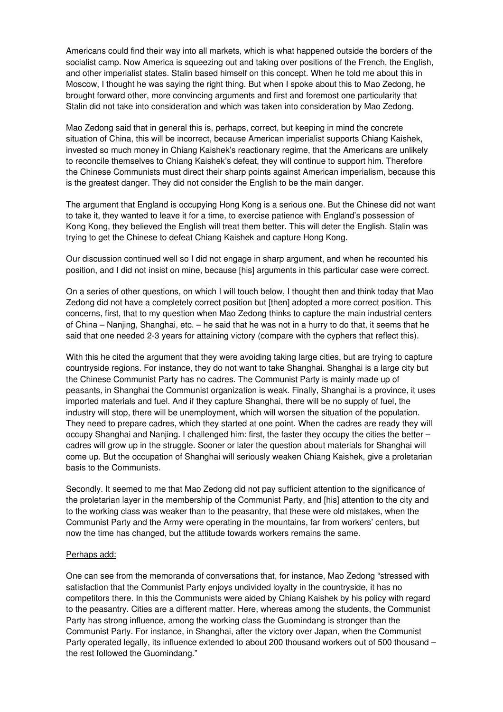Americans could find their way into all markets, which is what happened outside the borders of the socialist camp. Now America is squeezing out and taking over positions of the French, the English, and other imperialist states. Stalin based himself on this concept. When he told me about this in Moscow, I thought he was saying the right thing. But when I spoke about this to Mao Zedong, he brought forward other, more convincing arguments and first and foremost one particularity that Stalin did not take into consideration and which was taken into consideration by Mao Zedong.

Mao Zedong said that in general this is, perhaps, correct, but keeping in mind the concrete situation of China, this will be incorrect, because American imperialist supports Chiang Kaishek, invested so much money in Chiang Kaishek's reactionary regime, that the Americans are unlikely to reconcile themselves to Chiang Kaishek's defeat, they will continue to support him. Therefore the Chinese Communists must direct their sharp points against American imperialism, because this is the greatest danger. They did not consider the English to be the main danger.

The argument that England is occupying Hong Kong is a serious one. But the Chinese did not want to take it, they wanted to leave it for a time, to exercise patience with England's possession of Kong Kong, they believed the English will treat them better. This will deter the English. Stalin was trying to get the Chinese to defeat Chiang Kaishek and capture Hong Kong.

Our discussion continued well so I did not engage in sharp argument, and when he recounted his position, and I did not insist on mine, because [his] arguments in this particular case were correct.

On a series of other questions, on which I will touch below, I thought then and think today that Mao Zedong did not have a completely correct position but [then] adopted a more correct position. This concerns, first, that to my question when Mao Zedong thinks to capture the main industrial centers of China – Nanjing, Shanghai, etc. – he said that he was not in a hurry to do that, it seems that he said that one needed 2-3 years for attaining victory (compare with the cyphers that reflect this).

With this he cited the argument that they were avoiding taking large cities, but are trying to capture countryside regions. For instance, they do not want to take Shanghai. Shanghai is a large city but the Chinese Communist Party has no cadres. The Communist Party is mainly made up of peasants, in Shanghai the Communist organization is weak. Finally, Shanghai is a province, it uses imported materials and fuel. And if they capture Shanghai, there will be no supply of fuel, the industry will stop, there will be unemployment, which will worsen the situation of the population. They need to prepare cadres, which they started at one point. When the cadres are ready they will occupy Shanghai and Nanjing. I challenged him: first, the faster they occupy the cities the better – cadres will grow up in the struggle. Sooner or later the question about materials for Shanghai will come up. But the occupation of Shanghai will seriously weaken Chiang Kaishek, give a proletarian basis to the Communists.

Secondly. It seemed to me that Mao Zedong did not pay sufficient attention to the significance of the proletarian layer in the membership of the Communist Party, and [his] attention to the city and to the working class was weaker than to the peasantry, that these were old mistakes, when the Communist Party and the Army were operating in the mountains, far from workers' centers, but now the time has changed, but the attitude towards workers remains the same.

#### Perhaps add:

One can see from the memoranda of conversations that, for instance, Mao Zedong "stressed with satisfaction that the Communist Party enjoys undivided loyalty in the countryside, it has no competitors there. In this the Communists were aided by Chiang Kaishek by his policy with regard to the peasantry. Cities are a different matter. Here, whereas among the students, the Communist Party has strong influence, among the working class the Guomindang is stronger than the Communist Party. For instance, in Shanghai, after the victory over Japan, when the Communist Party operated legally, its influence extended to about 200 thousand workers out of 500 thousand – the rest followed the Guomindang."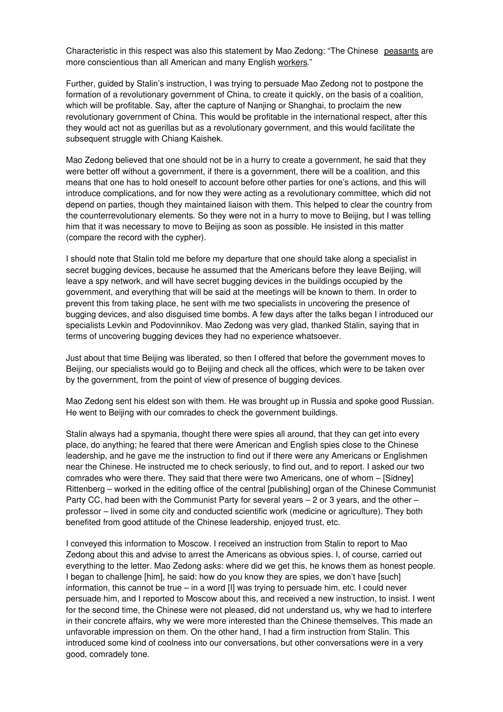Characteristic in this respect was also this statement by Mao Zedong: "The Chinese peasants are more conscientious than all American and many English workers."

Further, guided by Stalin's instruction, I was trying to persuade Mao Zedong not to postpone the formation of a revolutionary government of China, to create it quickly, on the basis of a coalition, which will be profitable. Say, after the capture of Nanjing or Shanghai, to proclaim the new revolutionary government of China. This would be profitable in the international respect, after this they would act not as guerillas but as a revolutionary government, and this would facilitate the subsequent struggle with Chiang Kaishek.

Mao Zedong believed that one should not be in a hurry to create a government, he said that they were better off without a government, if there is a government, there will be a coalition, and this means that one has to hold oneself to account before other parties for one's actions, and this will introduce complications, and for now they were acting as a revolutionary committee, which did not depend on parties, though they maintained liaison with them. This helped to clear the country from the counterrevolutionary elements. So they were not in a hurry to move to Beijing, but I was telling him that it was necessary to move to Beijing as soon as possible. He insisted in this matter (compare the record with the cypher).

I should note that Stalin told me before my departure that one should take along a specialist in secret bugging devices, because he assumed that the Americans before they leave Beijing, will leave a spy network, and will have secret bugging devices in the buildings occupied by the government, and everything that will be said at the meetings will be known to them. In order to prevent this from taking place, he sent with me two specialists in uncovering the presence of bugging devices, and also disguised time bombs. A few days after the talks began I introduced our specialists Levkin and Podovinnikov. Mao Zedong was very glad, thanked Stalin, saying that in terms of uncovering bugging devices they had no experience whatsoever.

Just about that time Beijing was liberated, so then I offered that before the government moves to Beijing, our specialists would go to Beijing and check all the offices, which were to be taken over by the government, from the point of view of presence of bugging devices.

Mao Zedong sent his eldest son with them. He was brought up in Russia and spoke good Russian. He went to Beijing with our comrades to check the government buildings.

Stalin always had a spymania, thought there were spies all around, that they can get into every place, do anything; he feared that there were American and English spies close to the Chinese leadership, and he gave me the instruction to find out if there were any Americans or Englishmen near the Chinese. He instructed me to check seriously, to find out, and to report. I asked our two comrades who were there. They said that there were two Americans, one of whom – [Sidney] Rittenberg – worked in the editing office of the central [publishing] organ of the Chinese Communist Party CC, had been with the Communist Party for several years – 2 or 3 years, and the other – professor – lived in some city and conducted scientific work (medicine or agriculture). They both benefited from good attitude of the Chinese leadership, enjoyed trust, etc.

I conveyed this information to Moscow. I received an instruction from Stalin to report to Mao Zedong about this and advise to arrest the Americans as obvious spies. I, of course, carried out everything to the letter. Mao Zedong asks: where did we get this, he knows them as honest people. I began to challenge [him], he said: how do you know they are spies, we don't have [such] information, this cannot be true – in a word [I] was trying to persuade him, etc. I could never persuade him, and I reported to Moscow about this, and received a new instruction, to insist. I went for the second time, the Chinese were not pleased, did not understand us, why we had to interfere in their concrete affairs, why we were more interested than the Chinese themselves. This made an unfavorable impression on them. On the other hand, I had a firm instruction from Stalin. This introduced some kind of coolness into our conversations, but other conversations were in a very good, comradely tone.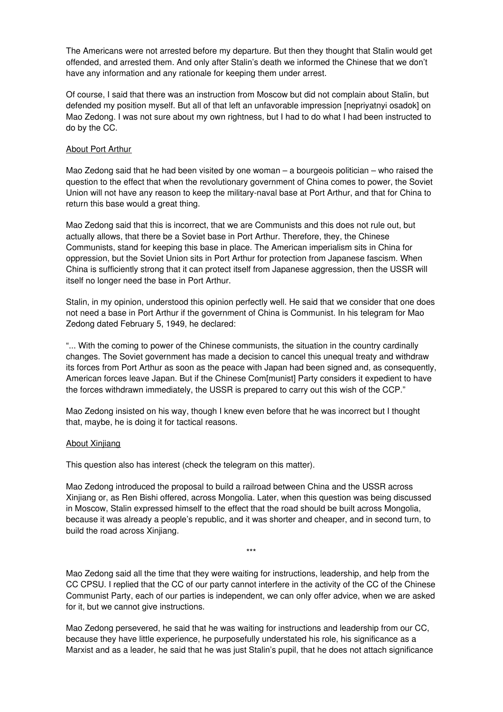The Americans were not arrested before my departure. But then they thought that Stalin would get offended, and arrested them. And only after Stalin's death we informed the Chinese that we don't have any information and any rationale for keeping them under arrest.

Of course, I said that there was an instruction from Moscow but did not complain about Stalin, but defended my position myself. But all of that left an unfavorable impression [nepriyatnyi osadok] on Mao Zedong. I was not sure about my own rightness, but I had to do what I had been instructed to do by the CC.

#### About Port Arthur

Mao Zedong said that he had been visited by one woman – a bourgeois politician – who raised the question to the effect that when the revolutionary government of China comes to power, the Soviet Union will not have any reason to keep the military-naval base at Port Arthur, and that for China to return this base would a great thing.

Mao Zedong said that this is incorrect, that we are Communists and this does not rule out, but actually allows, that there be a Soviet base in Port Arthur. Therefore, they, the Chinese Communists, stand for keeping this base in place. The American imperialism sits in China for oppression, but the Soviet Union sits in Port Arthur for protection from Japanese fascism. When China is sufficiently strong that it can protect itself from Japanese aggression, then the USSR will itself no longer need the base in Port Arthur.

Stalin, in my opinion, understood this opinion perfectly well. He said that we consider that one does not need a base in Port Arthur if the government of China is Communist. In his telegram for Mao Zedong dated February 5, 1949, he declared:

"... With the coming to power of the Chinese communists, the situation in the country cardinally changes. The Soviet government has made a decision to cancel this unequal treaty and withdraw its forces from Port Arthur as soon as the peace with Japan had been signed and, as consequently, American forces leave Japan. But if the Chinese Com[munist] Party considers it expedient to have the forces withdrawn immediately, the USSR is prepared to carry out this wish of the CCP."

Mao Zedong insisted on his way, though I knew even before that he was incorrect but I thought that, maybe, he is doing it for tactical reasons.

#### About Xinjiang

This question also has interest (check the telegram on this matter).

Mao Zedong introduced the proposal to build a railroad between China and the USSR across Xinjiang or, as Ren Bishi offered, across Mongolia. Later, when this question was being discussed in Moscow, Stalin expressed himself to the effect that the road should be built across Mongolia, because it was already a people's republic, and it was shorter and cheaper, and in second turn, to build the road across Xinjiang.

Mao Zedong said all the time that they were waiting for instructions, leadership, and help from the CC CPSU. I replied that the CC of our party cannot interfere in the activity of the CC of the Chinese Communist Party, each of our parties is independent, we can only offer advice, when we are asked for it, but we cannot give instructions.

\*\*\*

Mao Zedong persevered, he said that he was waiting for instructions and leadership from our CC, because they have little experience, he purposefully understated his role, his significance as a Marxist and as a leader, he said that he was just Stalin's pupil, that he does not attach significance